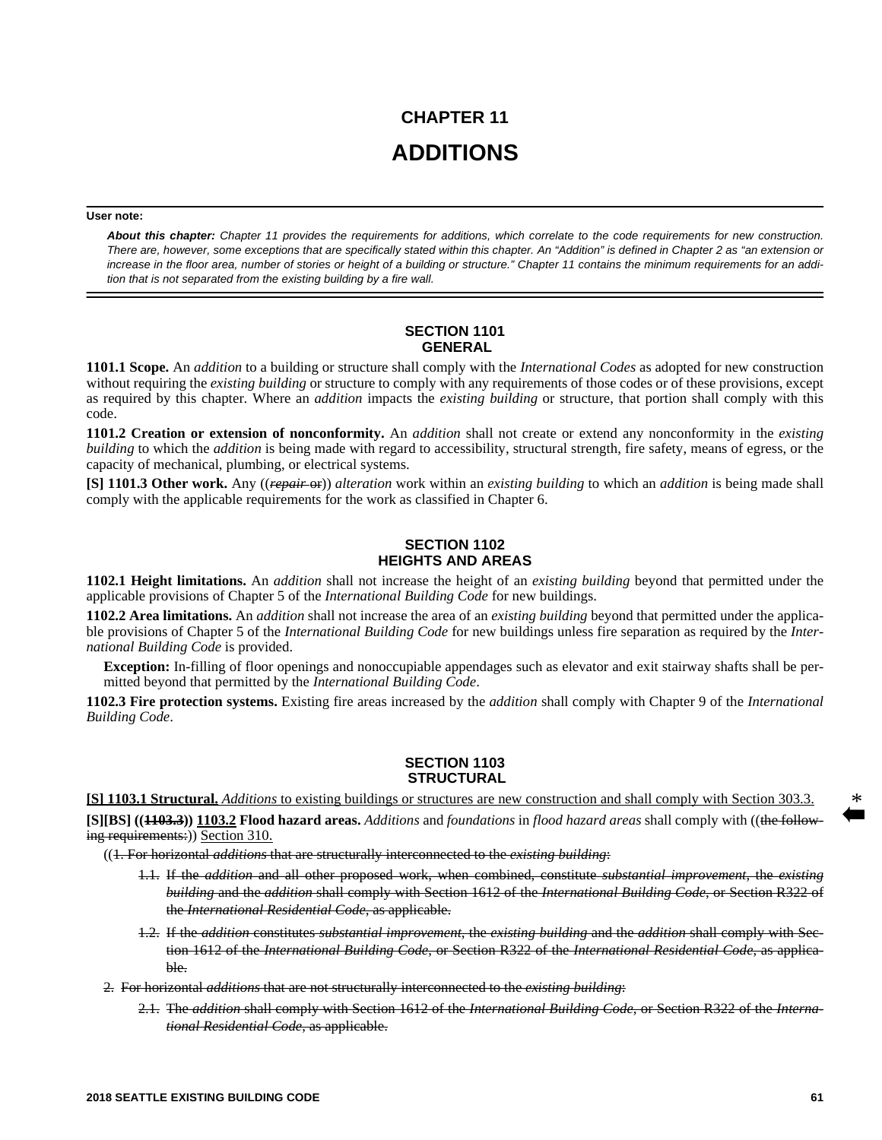# **CHAPTER 11 ADDITIONS**

### **User note:**

*About this chapter: Chapter 11 provides the requirements for additions, which correlate to the code requirements for new construction. There are, however, some exceptions that are specifically stated within this chapter. An "Addition" is defined in Chapter 2 as "an extension or increase in the floor area, number of stories or height of a building or structure." Chapter 11 contains the minimum requirements for an addition that is not separated from the existing building by a fire wall.*

## **SECTION 1101 GENERAL**

**1101.1 Scope.** An *addition* to a building or structure shall comply with the *International Codes* as adopted for new construction without requiring the *existing building* or structure to comply with any requirements of those codes or of these provisions, except as required by this chapter. Where an *addition* impacts the *existing building* or structure, that portion shall comply with this code.

**1101.2 Creation or extension of nonconformity.** An *addition* shall not create or extend any nonconformity in the *existing building* to which the *addition* is being made with regard to accessibility, structural strength, fire safety, means of egress, or the capacity of mechanical, plumbing, or electrical systems.

**[S] 1101.3 Other work.** Any ((*repair* or)) *alteration* work within an *existing building* to which an *addition* is being made shall comply with the applicable requirements for the work as classified in Chapter 6.

# **SECTION 1102 HEIGHTS AND AREAS**

**1102.1 Height limitations.** An *addition* shall not increase the height of an *existing building* beyond that permitted under the applicable provisions of Chapter 5 of the *International Building Code* for new buildings.

**1102.2 Area limitations.** An *addition* shall not increase the area of an *existing building* beyond that permitted under the applicable provisions of Chapter 5 of the *International Building Code* for new buildings unless fire separation as required by the *International Building Code* is provided.

**Exception:** In-filling of floor openings and nonoccupiable appendages such as elevator and exit stairway shafts shall be permitted beyond that permitted by the *International Building Code*.

**1102.3 Fire protection systems.** Existing fire areas increased by the *addition* shall comply with Chapter 9 of the *International Building Code*.

## **SECTION 1103 STRUCTURAL**

**[S] 1103.1 Structural.** *Additions* to existing buildings or structures are new construction and shall comply with Section 303.3.

**[S][BS] ((1103.3)) 1103.2 Flood hazard areas.** *Additions* and *foundations* in *flood hazard areas* shall comply with ((the following requirements:)) Section 310.

((1. For horizontal *additions* that are structurally interconnected to the *existing building*:

- 1.1. If the *addition* and all other proposed work, when combined, constitute *substantial improvement*, the *existing building* and the *addition* shall comply with Section 1612 of the *International Building Code*, or Section R322 of the *International Residential Code*, as applicable.
- 1.2. If the *addition* constitutes *substantial improvement*, the *existing building* and the *addition* shall comply with Section 1612 of the *International Building Code*, or Section R322 of the *International Residential Code*, as applicable.
- 2. For horizontal *additions* that are not structurally interconnected to the *existing building*:
	- 2.1. The *addition* shall comply with Section 1612 of the *International Building Code*, or Section R322 of the *International Residential Code*, as applicable.

\*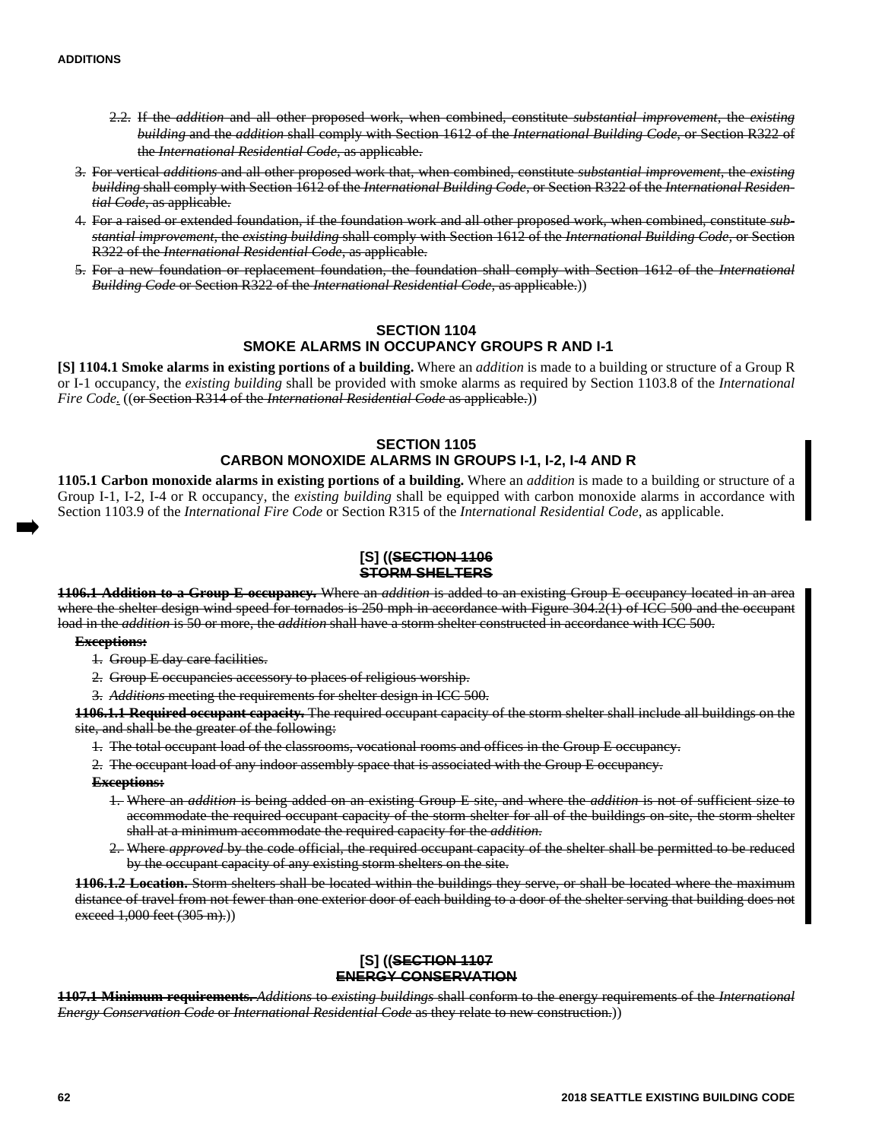- 2.2. If the *addition* and all other proposed work, when combined, constitute *substantial improvement*, the *existing building* and the *addition* shall comply with Section 1612 of the *International Building Code*, or Section R322 of the *International Residential Code*, as applicable.
- 3. For vertical *additions* and all other proposed work that, when combined, constitute *substantial improvement*, the *existing building* shall comply with Section 1612 of the *International Building Code*, or Section R322 of the *International Residential Code*, as applicable.
- 4. For a raised or extended foundation, if the foundation work and all other proposed work, when combined, constitute *substantial improvement*, the *existing building* shall comply with Section 1612 of the *International Building Code,* or Section R322 of the *International Residential Code*, as applicable.
- 5. For a new foundation or replacement foundation, the foundation shall comply with Section 1612 of the *International Building Code* or Section R322 of the *International Residential Code*, as applicable.))

# **SECTION 1104 SMOKE ALARMS IN OCCUPANCY GROUPS R AND I-1**

**[S] 1104.1 Smoke alarms in existing portions of a building.** Where an *addition* is made to a building or structure of a Group R or I-1 occupancy, the *existing building* shall be provided with smoke alarms as required by Section 1103.8 of the *International Fire Code.* ((or Section R314 of the *International Residential Code* as applicable.))

# **SECTION 1105 CARBON MONOXIDE ALARMS IN GROUPS I-1, I-2, I-4 AND R**

**1105.1 Carbon monoxide alarms in existing portions of a building.** Where an *addition* is made to a building or structure of a Group I-1, I-2, I-4 or R occupancy, the *existing building* shall be equipped with carbon monoxide alarms in accordance with Section 1103.9 of the *International Fire Code* or Section R315 of the *International Residential Code*, as applicable.

# **[S] ((SECTION 1106 STORM SHELTERS**

**1106.1 Addition to a Group E occupancy.** Where an *addition* is added to an existing Group E occupancy located in an area where the shelter design wind speed for tornados is 250 mph in accordance with Figure 304.2(1) of ICC 500 and the occupant load in the *addition* is 50 or more, the *addition* shall have a storm shelter constructed in accordance with ICC 500.

#### **Exceptions:**

- 1. Group E day care facilities.
- 2. Group E occupancies accessory to places of religious worship.
- 3. *Additions* meeting the requirements for shelter design in ICC 500.

**1106.1.1 Required occupant capacity.** The required occupant capacity of the storm shelter shall include all buildings on the site, and shall be the greater of the following:

1. The total occupant load of the classrooms, vocational rooms and offices in the Group E occupancy.

2. The occupant load of any indoor assembly space that is associated with the Group E occupancy.

#### **Exceptions:**

- 1. Where an *addition* is being added on an existing Group E site, and where the *addition* is not of sufficient size to accommodate the required occupant capacity of the storm shelter for all of the buildings on-site, the storm shelter shall at a minimum accommodate the required capacity for the *addition*.
- 2. Where *approved* by the code official, the required occupant capacity of the shelter shall be permitted to be reduced by the occupant capacity of any existing storm shelters on the site.

**1106.1.2 Location.** Storm shelters shall be located within the buildings they serve, or shall be located where the maximum distance of travel from not fewer than one exterior door of each building to a door of the shelter serving that building does not exceed  $1,000$  feet  $(305 \text{ m})$ .)

## **[S] ((SECTION 1107 ENERGY CONSERVATION**

**1107.1 Minimum requirements.** *Additions* to *existing buildings* shall conform to the energy requirements of the *International Energy Conservation Code* or *International Residential Code* as they relate to new construction.))